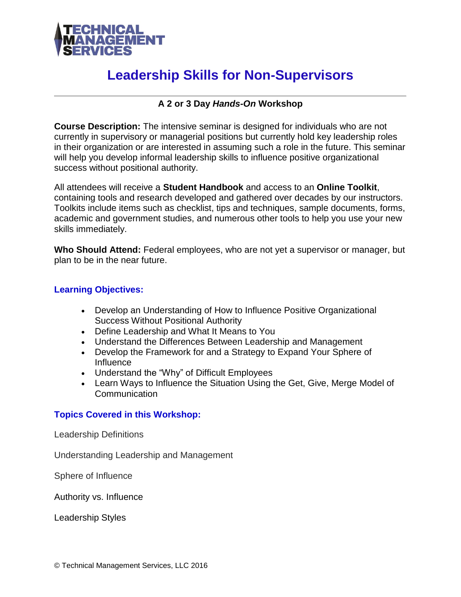

# **Leadership Skills for Non-Supervisors**

# **A 2 or 3 Day** *Hands-On* **Workshop**

**Course Description:** The intensive seminar is designed for individuals who are not currently in supervisory or managerial positions but currently hold key leadership roles in their organization or are interested in assuming such a role in the future. This seminar will help you develop informal leadership skills to influence positive organizational success without positional authority.

All attendees will receive a **Student Handbook** and access to an **Online Toolkit**, containing tools and research developed and gathered over decades by our instructors. Toolkits include items such as checklist, tips and techniques, sample documents, forms, academic and government studies, and numerous other tools to help you use your new skills immediately.

**Who Should Attend:** Federal employees, who are not yet a supervisor or manager, but plan to be in the near future.

## **Learning Objectives:**

- Develop an Understanding of How to Influence Positive Organizational Success Without Positional Authority
- Define Leadership and What It Means to You
- Understand the Differences Between Leadership and Management
- Develop the Framework for and a Strategy to Expand Your Sphere of Influence
- Understand the "Why" of Difficult Employees
- Learn Ways to Influence the Situation Using the Get, Give, Merge Model of Communication

### **Topics Covered in this Workshop:**

Leadership Definitions

Understanding Leadership and Management

Sphere of Influence

Authority vs. Influence

Leadership Styles